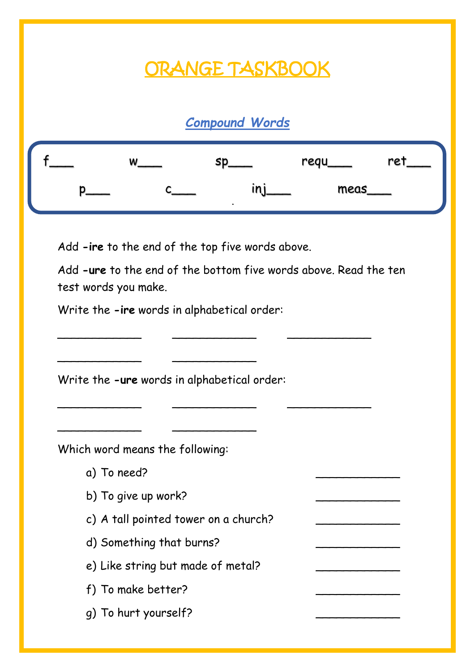## ORANGE TASKBOOK

### *Compound Words*

| W |           | regu | ret |
|---|-----------|------|-----|
|   | $\bullet$ | meas |     |

Add **-ire** to the end of the top five words above.

Add **-ure** to the end of the bottom five words above. Read the ten test words you make.

\_\_\_\_\_\_\_\_\_\_\_\_ \_\_\_\_\_\_\_\_\_\_\_\_ \_\_\_\_\_\_\_\_\_\_\_\_

\_\_\_\_\_\_\_\_\_\_\_\_ \_\_\_\_\_\_\_\_\_\_\_\_ \_\_\_\_\_\_\_\_\_\_\_\_

Write the **-ire** words in alphabetical order:

Write the **-ure** words in alphabetical order:

\_\_\_\_\_\_\_\_\_\_\_\_ \_\_\_\_\_\_\_\_\_\_\_\_

\_\_\_\_\_\_\_\_\_\_\_\_ \_\_\_\_\_\_\_\_\_\_\_\_

Which word means the following:

- a) To need?
- b) To give up work?
- c) A tall pointed tower on a church?
- d) Something that burns?
- e) Like string but made of metal?
- f) To make better?
- g) To hurt yourself?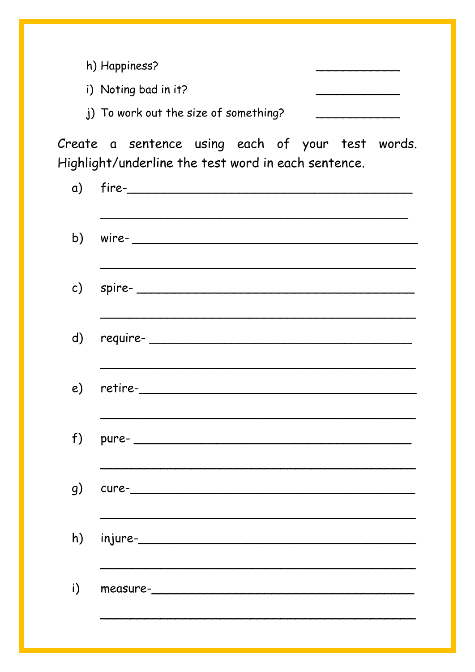| h) Happiness?                          |  |
|----------------------------------------|--|
| i) Noting bad in it?                   |  |
| (i) To work out the size of something? |  |

Create a sentence using each of your test words. Highlight/underline the test word in each sentence.

| b) wire- $\overline{\phantom{a}}$ |
|-----------------------------------|
| c) spire- $\qquad \qquad$         |
| d) require-                       |
|                                   |
| $f)$ pure-                        |
|                                   |
| h) injure-                        |
| measure-______________            |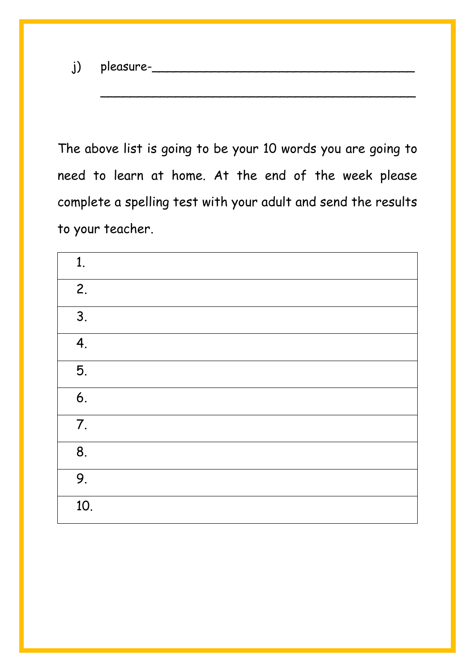j) pleasure-\_\_\_\_\_\_\_\_\_\_\_\_\_\_\_\_\_\_\_\_\_\_\_\_\_\_\_\_\_\_\_\_\_\_\_

The above list is going to be your 10 words you are going to need to learn at home. At the end of the week please complete a spelling test with your adult and send the results to your teacher.

\_\_\_\_\_\_\_\_\_\_\_\_\_\_\_\_\_\_\_\_\_\_\_\_\_\_\_\_\_\_\_\_\_\_\_\_\_\_\_\_\_\_

| 1.  |  |  |
|-----|--|--|
| 2.  |  |  |
| 3.  |  |  |
| 4.  |  |  |
| 5.  |  |  |
| 6.  |  |  |
| 7.  |  |  |
| 8.  |  |  |
| 9.  |  |  |
| 10. |  |  |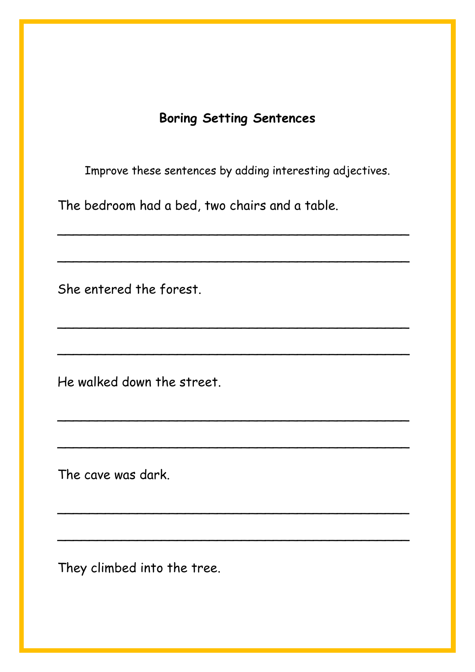### **Boring Setting Sentences**

Improve these sentences by adding interesting adjectives.

\_\_\_\_\_\_\_\_\_\_\_\_\_\_\_\_\_\_\_\_\_\_\_\_\_\_\_\_\_\_\_\_\_\_\_\_\_\_\_\_\_\_\_\_

\_\_\_\_\_\_\_\_\_\_\_\_\_\_\_\_\_\_\_\_\_\_\_\_\_\_\_\_\_\_\_\_\_\_\_\_\_\_\_\_\_\_\_\_

\_\_\_\_\_\_\_\_\_\_\_\_\_\_\_\_\_\_\_\_\_\_\_\_\_\_\_\_\_\_\_\_\_\_\_\_\_\_\_\_\_\_\_\_

\_\_\_\_\_\_\_\_\_\_\_\_\_\_\_\_\_\_\_\_\_\_\_\_\_\_\_\_\_\_\_\_\_\_\_\_\_\_\_\_\_\_\_\_

\_\_\_\_\_\_\_\_\_\_\_\_\_\_\_\_\_\_\_\_\_\_\_\_\_\_\_\_\_\_\_\_\_\_\_\_\_\_\_\_\_\_\_\_

\_\_\_\_\_\_\_\_\_\_\_\_\_\_\_\_\_\_\_\_\_\_\_\_\_\_\_\_\_\_\_\_\_\_\_\_\_\_\_\_\_\_\_\_

\_\_\_\_\_\_\_\_\_\_\_\_\_\_\_\_\_\_\_\_\_\_\_\_\_\_\_\_\_\_\_\_\_\_\_\_\_\_\_\_\_\_\_\_

\_\_\_\_\_\_\_\_\_\_\_\_\_\_\_\_\_\_\_\_\_\_\_\_\_\_\_\_\_\_\_\_\_\_\_\_\_\_\_\_\_\_\_\_

The bedroom had a bed, two chairs and a table.

She entered the forest.

He walked down the street.

The cave was dark.

They climbed into the tree.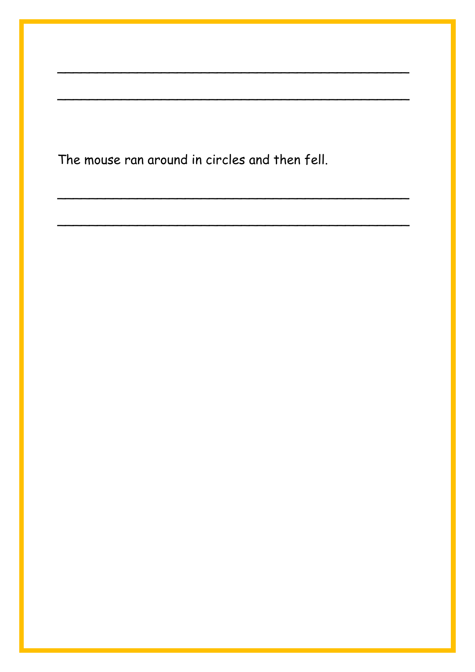The mouse ran around in circles and then fell.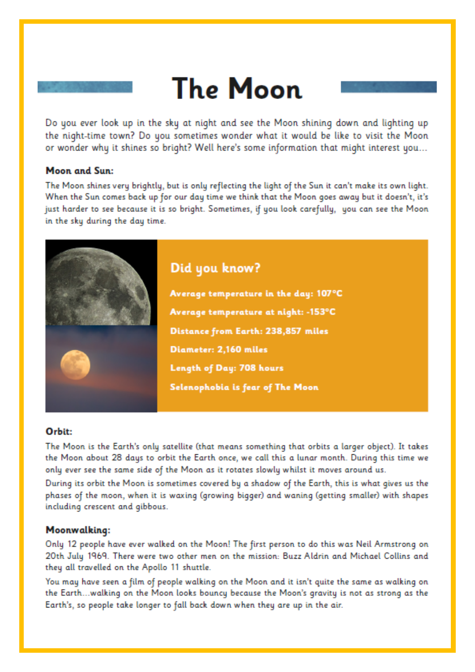# **The Moon**

Do you ever look up in the sky at night and see the Moon shining down and lighting up the night-time town? Do you sometimes wonder what it would be like to visit the Moon or wonder why it shines so bright? Well here's some information that might interest you...

#### **Moon and Sun:**

The Moon shines very brightly, but is only reflecting the light of the Sun it can't make its own light. When the Sun comes back up for our day time we think that the Moon goes away but it doesn't, it's just harder to see because it is so bright. Sometimes, if you look carefully, you can see the Moon in the sky during the day time.



#### Orbit:

The Moon is the Earth's only satellite (that means something that orbits a larger object). It takes the Moon about 28 days to orbit the Earth once, we call this a lunar month. During this time we only ever see the same side of the Moon as it rotates slowly whilst it moves around us.

During its orbit the Moon is sometimes covered by a shadow of the Earth, this is what gives us the phases of the moon, when it is waxing (growing bigger) and waning (getting smaller) with shapes including crescent and gibbous.

#### Moonwalking:

Only 12 people have ever walked on the Moon! The first person to do this was Neil Armstrong on 20th July 1969. There were two other men on the mission: Buzz Aldrin and Michael Collins and they all travelled on the Apollo 11 shuttle.

You may have seen a film of people walking on the Moon and it isn't guite the same as walking on the Earth...walking on the Moon looks bouncy because the Moon's gravity is not as strong as the Earth's, so people take longer to fall back down when they are up in the air.